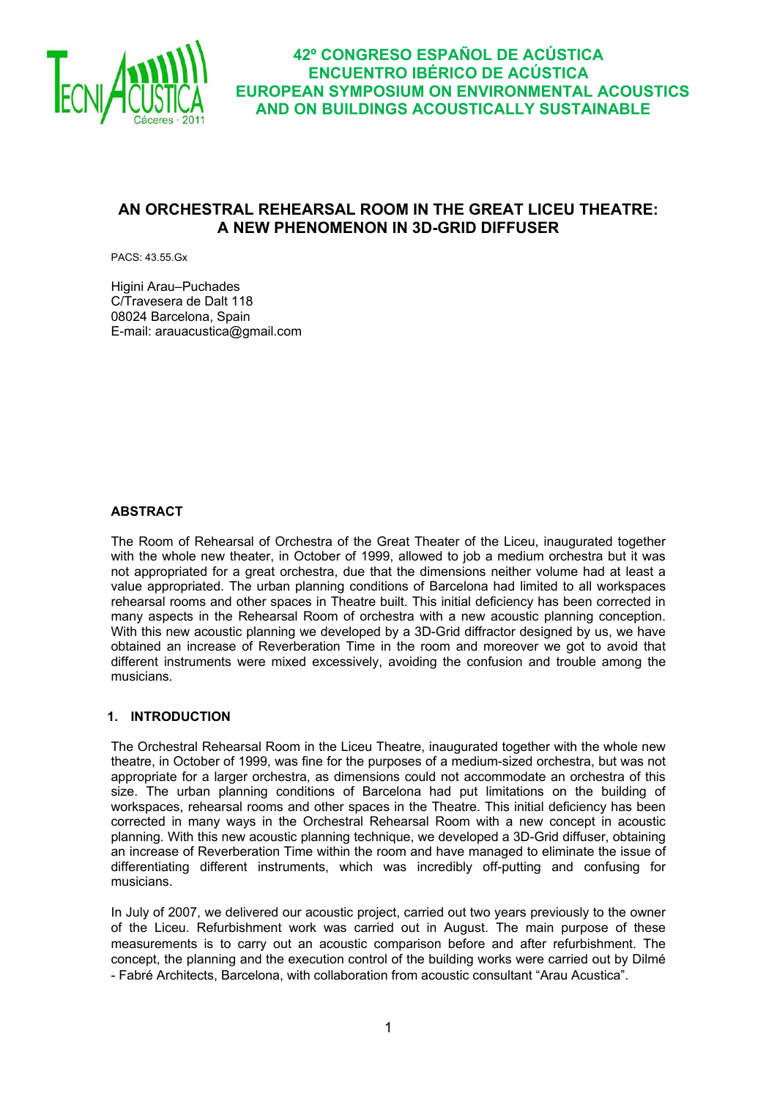

## **AN ORCHESTRAL REHEARSAL ROOM IN THE GREAT LICEU THEATRE: A NEW PHENOMENON IN 3D-GRID DIFFUSER**

PACS: 43.55.Gx

Higini Arau–Puchades C/Travesera de Dalt 118 08024 Barcelona, Spain E-mail: arauacustica@gmail.com

#### **ABSTRACT**

The Room of Rehearsal of Orchestra of the Great Theater of the Liceu, inaugurated together with the whole new theater, in October of 1999, allowed to job a medium orchestra but it was not appropriated for a great orchestra, due that the dimensions neither volume had at least a value appropriated. The urban planning conditions of Barcelona had limited to all workspaces rehearsal rooms and other spaces in Theatre built. This initial deficiency has been corrected in many aspects in the Rehearsal Room of orchestra with a new acoustic planning conception. With this new acoustic planning we developed by a 3D-Grid diffractor designed by us, we have obtained an increase of Reverberation Time in the room and moreover we got to avoid that different instruments were mixed excessively, avoiding the confusion and trouble among the musicians.

#### **1. INTRODUCTION**

The Orchestral Rehearsal Room in the Liceu Theatre, inaugurated together with the whole new theatre, in October of 1999, was fine for the purposes of a medium-sized orchestra, but was not appropriate for a larger orchestra, as dimensions could not accommodate an orchestra of this size. The urban planning conditions of Barcelona had put limitations on the building of workspaces, rehearsal rooms and other spaces in the Theatre. This initial deficiency has been corrected in many ways in the Orchestral Rehearsal Room with a new concept in acoustic planning. With this new acoustic planning technique, we developed a 3D-Grid diffuser, obtaining an increase of Reverberation Time within the room and have managed to eliminate the issue of differentiating different instruments, which was incredibly off-putting and confusing for musicians.

In July of 2007, we delivered our acoustic project, carried out two years previously to the owner of the Liceu. Refurbishment work was carried out in August. The main purpose of these measurements is to carry out an acoustic comparison before and after refurbishment. The concept, the planning and the execution control of the building works were carried out by Dilmé - Fabré Architects, Barcelona, with collaboration from acoustic consultant "Arau Acustica".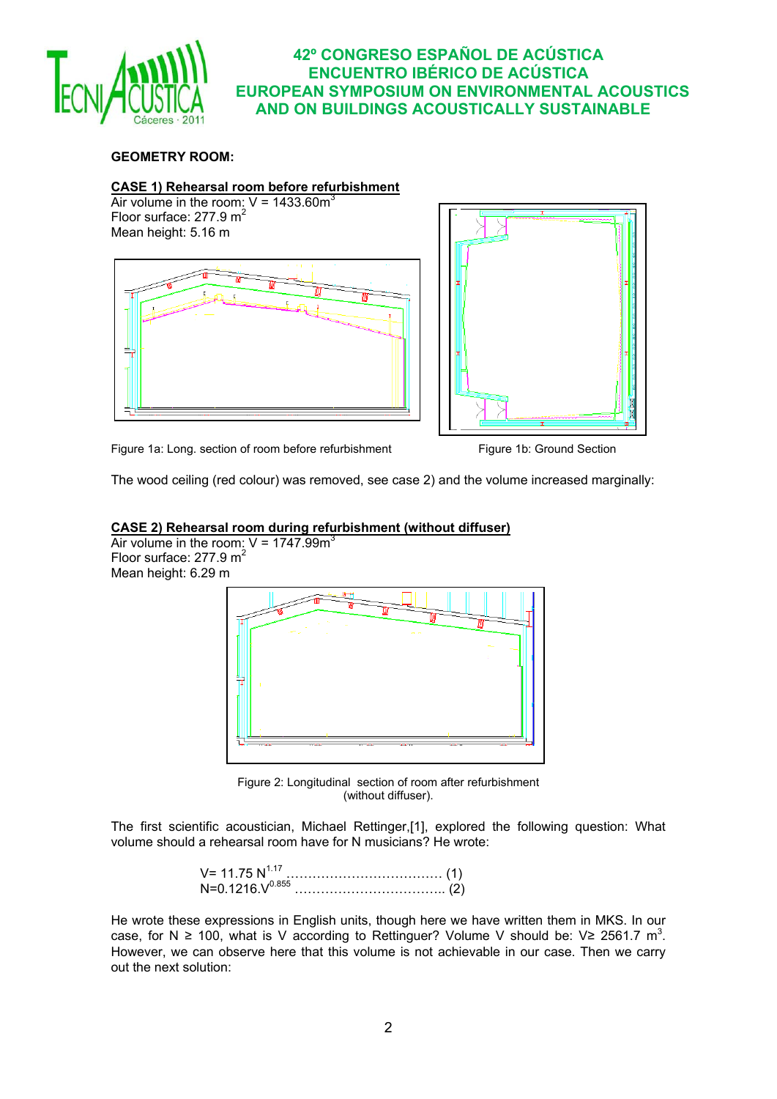

## **GEOMETRY ROOM:**

#### **CASE 1) Rehearsal room before refurbishment**

Air volume in the room:  $V = 1433.60m<sup>3</sup>$ Floor surface:  $277.9 \text{ m}^2$ Mean height: 5.16 m





Figure 1a: Long. section of room before refurbishment Figure 1b: Ground Section

The wood ceiling (red colour) was removed, see case 2) and the volume increased marginally:

#### **CASE 2) Rehearsal room during refurbishment (without diffuser)**



Figure 2: Longitudinal section of room after refurbishment (without diffuser).

The first scientific acoustician, Michael Rettinger,[1], explored the following question: What volume should a rehearsal room have for N musicians? He wrote:

> V= 11.75 N1.17 ……………………………… (1) N=0.1216.V0.855 …………………………….. (2)

He wrote these expressions in English units, though here we have written them in MKS. In our case, for N  $\geq$  100, what is V according to Rettinguer? Volume V should be: V $\geq$  2561.7 m<sup>3</sup>. However, we can observe here that this volume is not achievable in our case. Then we carry out the next solution: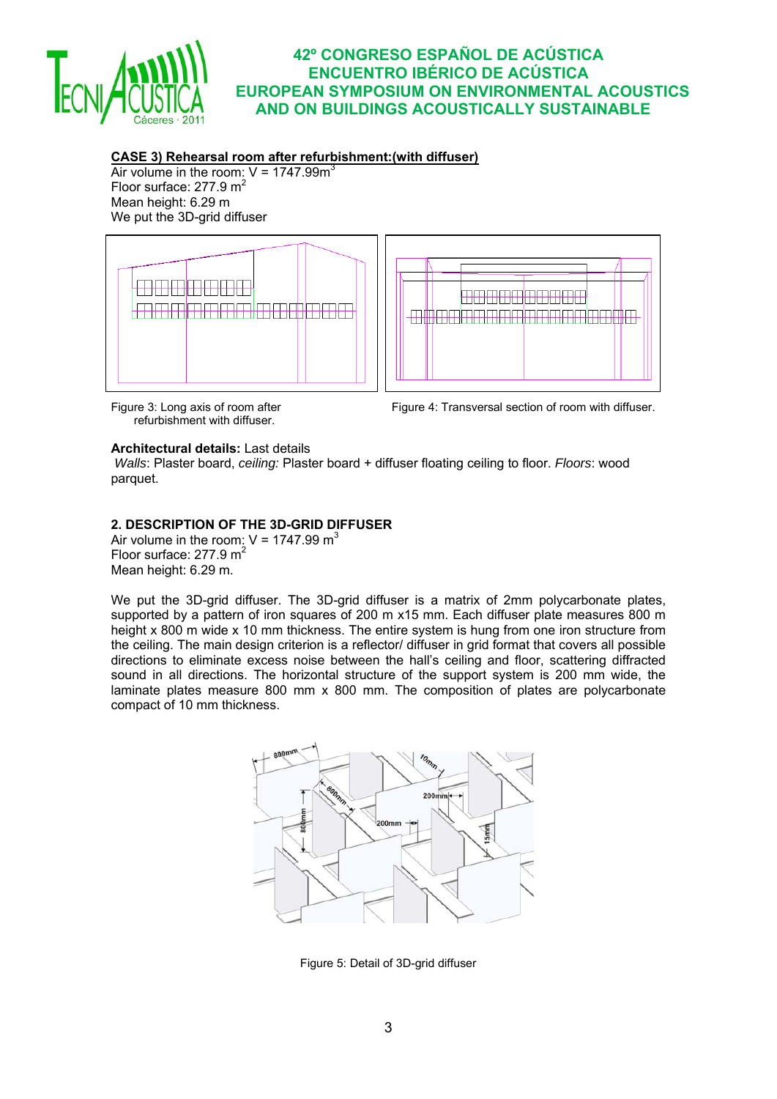

## **CASE 3) Rehearsal room after refurbishment:(with diffuser)**

Air volume in the room:  $V = 1747.99m<sup>3</sup>$ Floor surface:  $277.9 \text{ m}^2$ Mean height: 6.29 m We put the 3D-grid diffuser



refurbishment with diffuser.

Figure 3: Long axis of room after Figure 4: Transversal section of room with diffuser.

#### **Architectural details:** Last details

 *Walls*: Plaster board, *ceiling:* Plaster board + diffuser floating ceiling to floor. *Floors*: wood parquet.

## **2. DESCRIPTION OF THE 3D-GRID DIFFUSER**

Air volume in the room:  $V = 1747.99 \text{ m}^3$ Floor surface:  $277.9 \text{ m}^2$ Mean height: 6.29 m.

We put the 3D-qrid diffuser. The 3D-qrid diffuser is a matrix of 2mm polycarbonate plates, supported by a pattern of iron squares of 200 m x15 mm. Each diffuser plate measures 800 m height x 800 m wide x 10 mm thickness. The entire system is hung from one iron structure from the ceiling. The main design criterion is a reflector/ diffuser in grid format that covers all possible directions to eliminate excess noise between the hall's ceiling and floor, scattering diffracted sound in all directions. The horizontal structure of the support system is 200 mm wide, the laminate plates measure 800 mm x 800 mm. The composition of plates are polycarbonate compact of 10 mm thickness.



Figure 5: Detail of 3D-grid diffuser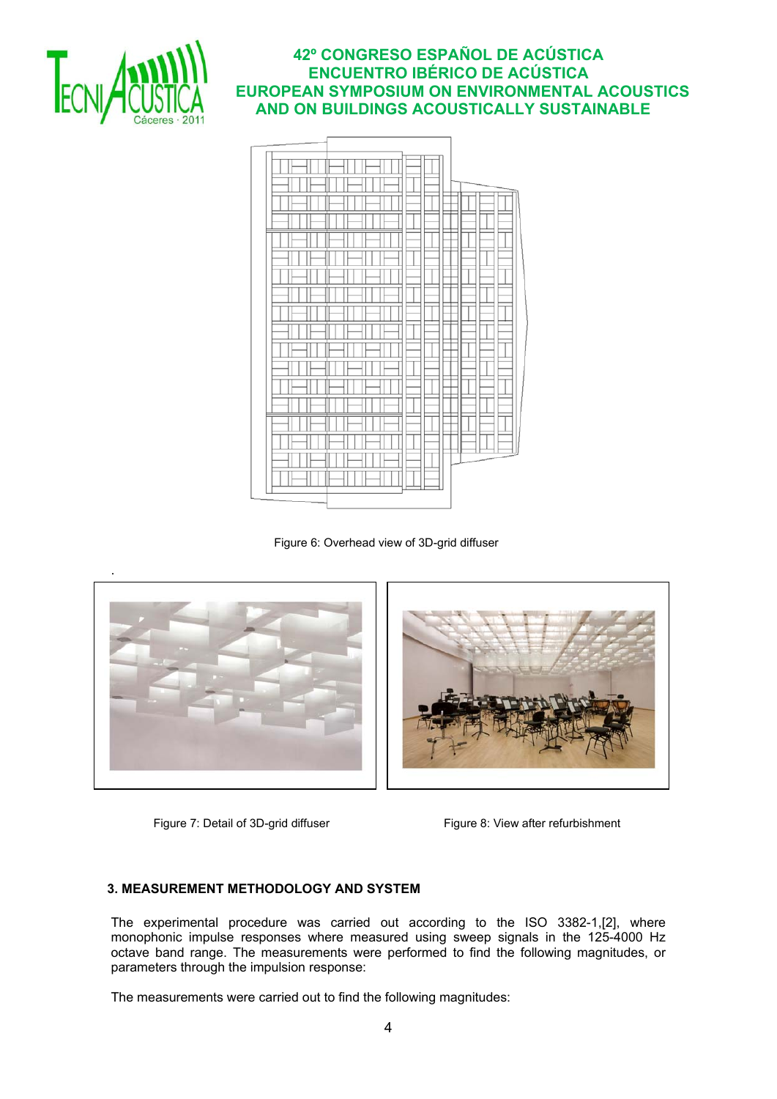



Figure 6: Overhead view of 3D-grid diffuser





Figure 7: Detail of 3D-grid diffuser Figure 8: View after refurbishment

#### **3. MEASUREMENT METHODOLOGY AND SYSTEM**

The experimental procedure was carried out according to the ISO 3382-1,[2], where monophonic impulse responses where measured using sweep signals in the 125-4000 Hz octave band range. The measurements were performed to find the following magnitudes, or parameters through the impulsion response:

The measurements were carried out to find the following magnitudes: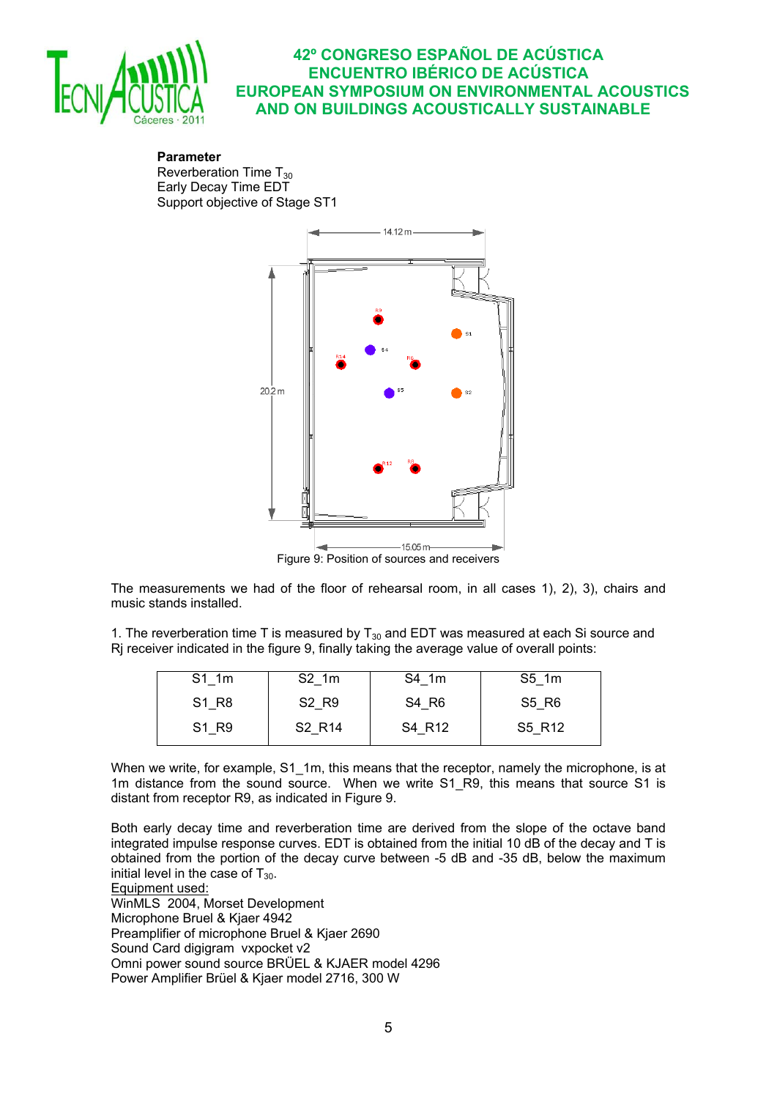

**Parameter** Reverberation Time  $T_{30}$ Early Decay Time EDT Support objective of Stage ST1



Figure 9: Position of sources and receivers

The measurements we had of the floor of rehearsal room, in all cases 1), 2), 3), chairs and music stands installed.

1. The reverberation time T is measured by  $T_{30}$  and EDT was measured at each Si source and Rj receiver indicated in the figure 9, finally taking the average value of overall points:

| S1 1m | S2 1m                          | S4 1m  | S5 1m  |
|-------|--------------------------------|--------|--------|
| S1 R8 | S <sub>2</sub> R <sub>9</sub>  | S4 R6  | S5 R6  |
|       |                                |        |        |
| S1 R9 | S <sub>2</sub> R <sub>14</sub> | S4 R12 | S5 R12 |
|       |                                |        |        |

When we write, for example, S1\_1m, this means that the receptor, namely the microphone, is at 1m distance from the sound source. When we write S1 R9, this means that source S1 is distant from receptor R9, as indicated in Figure 9.

Both early decay time and reverberation time are derived from the slope of the octave band integrated impulse response curves. EDT is obtained from the initial 10 dB of the decay and T is obtained from the portion of the decay curve between -5 dB and -35 dB, below the maximum initial level in the case of  $T_{30}$ .

Equipment used:

WinMLS 2004, Morset Development Microphone Bruel & Kjaer 4942 Preamplifier of microphone Bruel & Kjaer 2690 Sound Card digigram vxpocket v2 Omni power sound source BRÜEL & KJAER model 4296 Power Amplifier Brüel & Kjaer model 2716, 300 W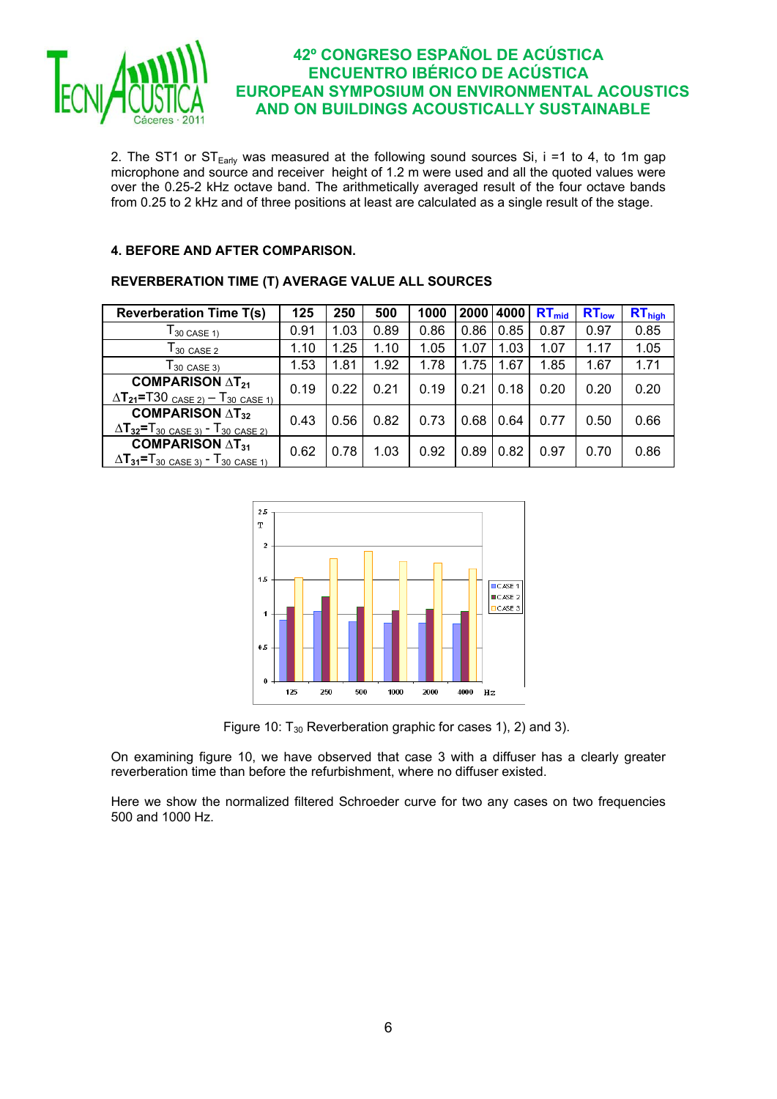

2. The ST1 or  $ST_{Early}$  was measured at the following sound sources Si, i =1 to 4, to 1m gap microphone and source and receiver height of 1.2 m were used and all the quoted values were over the 0.25-2 kHz octave band. The arithmetically averaged result of the four octave bands from 0.25 to 2 kHz and of three positions at least are calculated as a single result of the stage.

#### **4. BEFORE AND AFTER COMPARISON.**

# **REVERBERATION TIME (T) AVERAGE VALUE ALL SOURCES**

| <b>Reverberation Time T(s)</b>                                                                                                    | 125  | 250  | 500  | 1000 |      | 2000 4000 | $RT_{mid}$ | $RT_{low}$ | $RT_{high}$ |
|-----------------------------------------------------------------------------------------------------------------------------------|------|------|------|------|------|-----------|------------|------------|-------------|
| $T_{30}$ case 1)                                                                                                                  | 0.91 | 1.03 | 0.89 | 0.86 | 0.86 | 0.85      | 0.87       | 0.97       | 0.85        |
| $T_{30}$ case 2                                                                                                                   | 1.10 | 1.25 | 1.10 | 1.05 | 1.07 | 1.03      | 1.07       | 1.17       | 1.05        |
| $T_{30 \text{ CASE } 3}$                                                                                                          | 1.53 | 1.81 | 1.92 | 1.78 | 1.75 | 1.67      | 1.85       | 1.67       | 1.71        |
| <b>COMPARISON <math>\Delta</math>T<sub>21</sub></b><br>$\Delta$ T <sub>21</sub> =T30 <sub>CASE 2)</sub> – T <sub>30</sub> CASE 1) | 0.19 | 0.22 | 0.21 | 0.19 | 0.21 | 0.18      | 0.20       | 0.20       | 0.20        |
| <b>COMPARISON</b> $\Delta$ T <sub>32</sub><br>$\Delta$ T <sub>32</sub> =T <sub>30</sub> CASE 3) - T <sub>30</sub> CASE 2)         | 0.43 | 0.56 | 0.82 | 0.73 | 0.68 | 0.64      | 0.77       | 0.50       | 0.66        |
| <b>COMPARISON <math>\Delta</math>T<sub>31</sub></b><br>$\Delta T_{31} = T_{30}$ CASE 3) - $T_{30}$ CASE 1)                        | 0.62 | 0.78 | 1.03 | 0.92 | 0.89 | 0.82      | 0.97       | 0.70       | 0.86        |



Figure 10:  $T_{30}$  Reverberation graphic for cases 1), 2) and 3).

On examining figure 10, we have observed that case 3 with a diffuser has a clearly greater reverberation time than before the refurbishment, where no diffuser existed.

Here we show the normalized filtered Schroeder curve for two any cases on two frequencies 500 and 1000 Hz.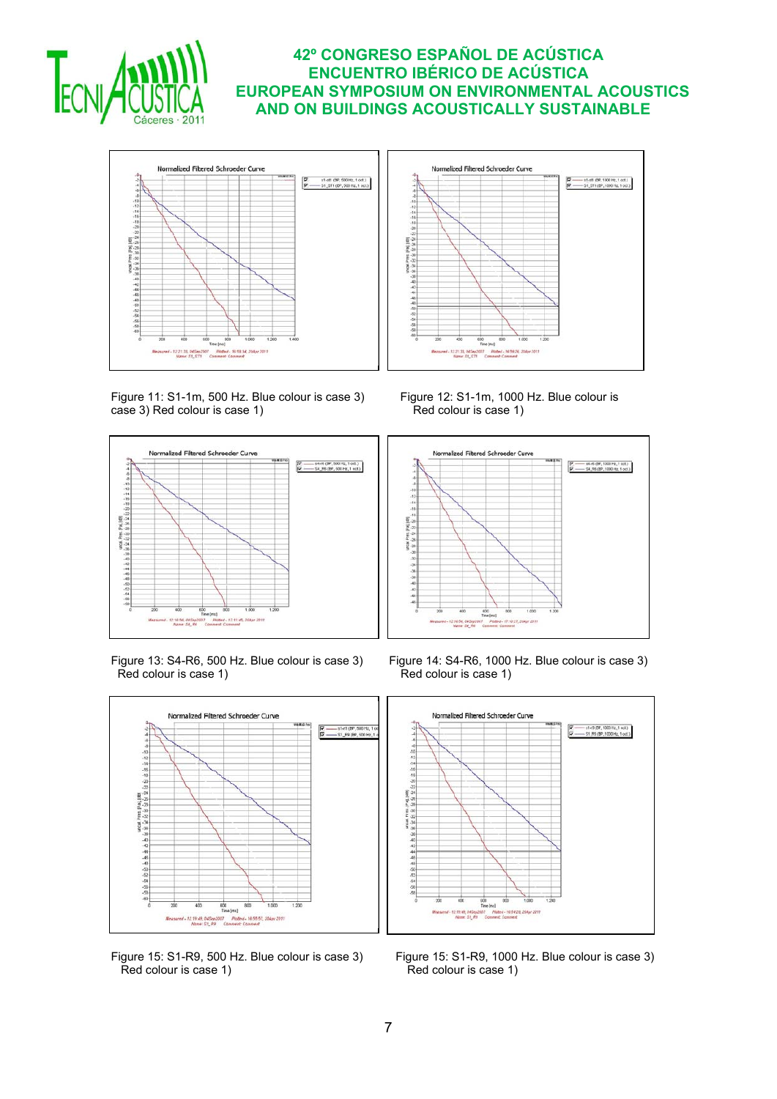



Figure 11: S1-1m, 500 Hz. Blue colour is case 3) Figure 12: S1-1m, 1000 Hz. Blue colour is case 1) Figure 12: S1-1m, 1000 Hz. Blue colour is case 1)  $case 3$ ) Red colour is case 1)



Red colour is case 1) Red colour is case 1)



Red colour is case 1) Red colour is case 1)





Figure 13: S4-R6, 500 Hz. Blue colour is case 3) Figure 14: S4-R6, 1000 Hz. Blue colour is case 3)



Figure 15: S1-R9, 500 Hz. Blue colour is case 3) Figure 15: S1-R9, 1000 Hz. Blue colour is case 3)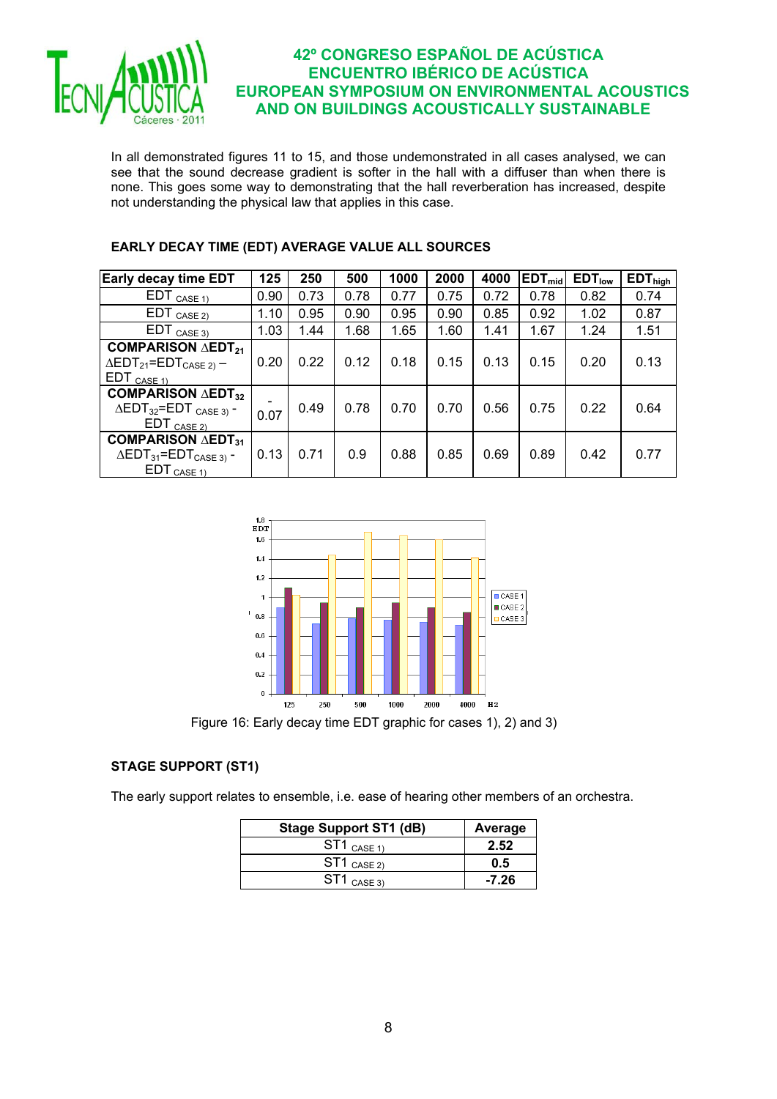

In all demonstrated figures 11 to 15, and those undemonstrated in all cases analysed, we can see that the sound decrease gradient is softer in the hall with a diffuser than when there is none. This goes some way to demonstrating that the hall reverberation has increased, despite not understanding the physical law that applies in this case.

| <b>Early decay time EDT</b>                                                                                                            | 125  | 250  | 500  | 1000 | 2000 | 4000 | $EDT_{mid}$ | EDT <sub>low</sub> | $EDT_{high}$ |
|----------------------------------------------------------------------------------------------------------------------------------------|------|------|------|------|------|------|-------------|--------------------|--------------|
| $EDT_{CASE 1}$                                                                                                                         | 0.90 | 0.73 | 0.78 | 0.77 | 0.75 | 0.72 | 0.78        | 0.82               | 0.74         |
| $EDT_{CASE 2)}$                                                                                                                        | 1.10 | 0.95 | 0.90 | 0.95 | 0.90 | 0.85 | 0.92        | 1.02               | 0.87         |
| $EDT_{CASE 3)}$                                                                                                                        | 1.03 | 1.44 | 1.68 | 1.65 | 1.60 | 1.41 | 1.67        | 1.24               | 1.51         |
| <b>COMPARISON AEDT21</b><br>$\Delta$ EDT <sub>21</sub> =EDT <sub>CASE 2)</sub> –<br>$EDT_{CASE 11}$                                    | 0.20 | 0.22 | 0.12 | 0.18 | 0.15 | 0.13 | 0.15        | 0.20               | 0.13         |
| <b>COMPARISON <math>\triangle</math>EDT<sub>32</sub></b><br>$\triangle$ EDT <sub>32</sub> =EDT <sub>CASE 3)</sub> -<br>$EDT_{CASE 2)}$ | 0.07 | 0.49 | 0.78 | 0.70 | 0.70 | 0.56 | 0.75        | 0.22               | 0.64         |
| <b>COMPARISON <math>\triangle</math>EDT<sub>31</sub></b><br>$\triangle$ EDT <sub>31</sub> =EDT <sub>CASE 3)</sub> -<br>$EDT_{CASE 11}$ | 0.13 | 0.71 | 0.9  | 0.88 | 0.85 | 0.69 | 0.89        | 0.42               | 0.77         |

## **EARLY DECAY TIME (EDT) AVERAGE VALUE ALL SOURCES**



Figure 16: Early decay time EDT graphic for cases 1), 2) and 3)

## **STAGE SUPPORT (ST1)**

The early support relates to ensemble, i.e. ease of hearing other members of an orchestra.

| <b>Stage Support ST1 (dB)</b>              | Average |
|--------------------------------------------|---------|
| $\mathsf{ST1}\ \mathsf{case}\ \mathsf{1})$ | 2.52    |
| $\mathsf{ST1}\ \mathsf{case}\ \mathsf{2})$ | 0.5     |
| $\mathsf{ST1}\ \mathsf{case}\ \mathsf{3})$ | $-7.26$ |